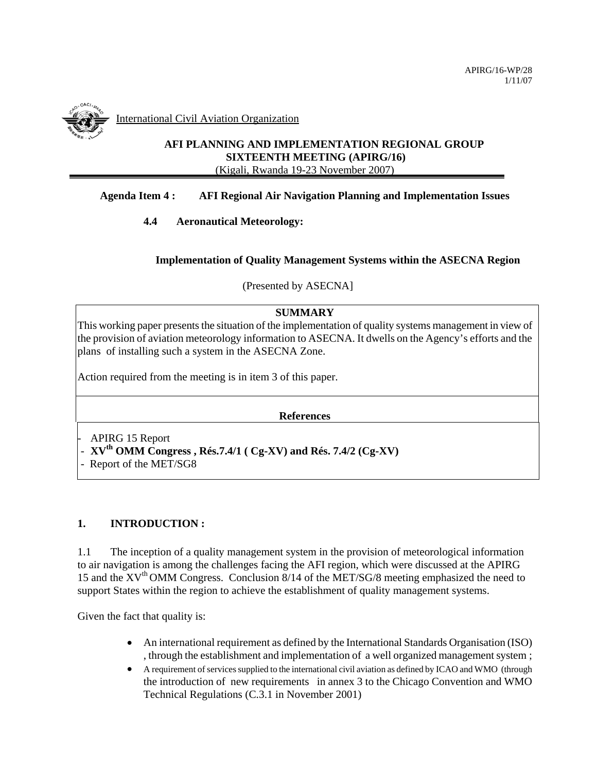

International Civil Aviation Organization

# **AFI PLANNING AND IMPLEMENTATION REGIONAL GROUP SIXTEENTH MEETING (APIRG/16)**  (Kigali, Rwanda 19-23 November 2007)

### **Agenda Item 4 : AFI Regional Air Navigation Planning and Implementation Issues**

### **4.4 Aeronautical Meteorology:**

### **Implementation of Quality Management Systems within the ASECNA Region**

(Presented by ASECNA]

### **SUMMARY**

This working paper presents the situation of the implementation of quality systems management in view of the provision of aviation meteorology information to ASECNA. It dwells on the Agency's efforts and the plans of installing such a system in the ASECNA Zone.

Action required from the meeting is in item 3 of this paper.

**References** 

APIRG 15 Report

- **XVth OMM Congress , Rés.7.4/1 ( Cg-XV) and Rés. 7.4/2 (Cg-XV)** 

- Report of the MET/SG8

### **1. INTRODUCTION :**

1.1 The inception of a quality management system in the provision of meteorological information to air navigation is among the challenges facing the AFI region, which were discussed at the APIRG 15 and the  $XV^{th}$  OMM Congress. Conclusion 8/14 of the MET/SG/8 meeting emphasized the need to support States within the region to achieve the establishment of quality management systems.

Given the fact that quality is:

- An international requirement as defined by the International Standards Organisation (ISO) , through the establishment and implementation of a well organized management system ;
- A requirement of services supplied to the international civil aviation as defined by ICAO and WMO (through the introduction of new requirements in annex 3 to the Chicago Convention and WMO Technical Regulations (C.3.1 in November 2001)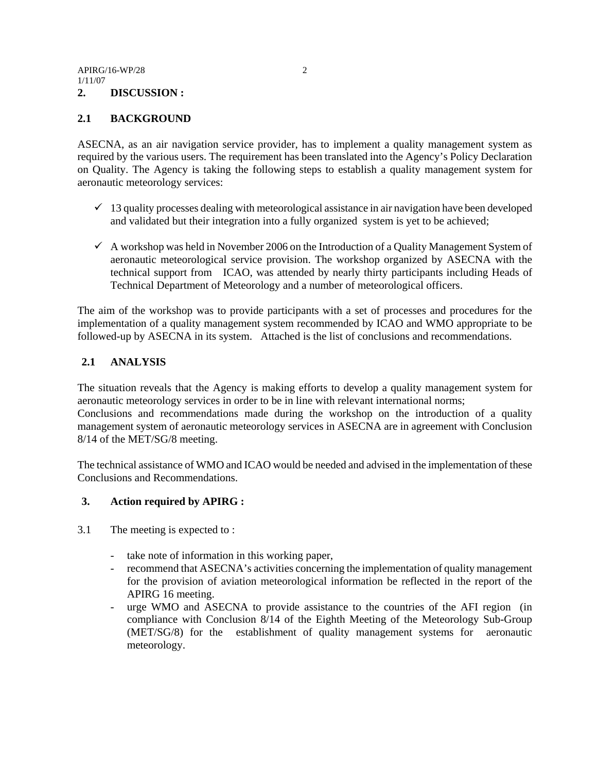### **2.1 BACKGROUND**

ASECNA, as an air navigation service provider, has to implement a quality management system as required by the various users. The requirement has been translated into the Agency's Policy Declaration on Quality. The Agency is taking the following steps to establish a quality management system for aeronautic meteorology services:

- $\checkmark$  13 quality processes dealing with meteorological assistance in air navigation have been developed and validated but their integration into a fully organized system is yet to be achieved;
- $\checkmark$  A workshop was held in November 2006 on the Introduction of a Quality Management System of aeronautic meteorological service provision. The workshop organized by ASECNA with the technical support from ICAO, was attended by nearly thirty participants including Heads of Technical Department of Meteorology and a number of meteorological officers.

The aim of the workshop was to provide participants with a set of processes and procedures for the implementation of a quality management system recommended by ICAO and WMO appropriate to be followed-up by ASECNA in its system. Attached is the list of conclusions and recommendations.

# **2.1 ANALYSIS**

The situation reveals that the Agency is making efforts to develop a quality management system for aeronautic meteorology services in order to be in line with relevant international norms; Conclusions and recommendations made during the workshop on the introduction of a quality management system of aeronautic meteorology services in ASECNA are in agreement with Conclusion 8/14 of the MET/SG/8 meeting.

The technical assistance of WMO and ICAO would be needed and advised in the implementation of these Conclusions and Recommendations.

### **3. Action required by APIRG :**

- 3.1 The meeting is expected to :
	- take note of information in this working paper,
	- recommend that ASECNA's activities concerning the implementation of quality management for the provision of aviation meteorological information be reflected in the report of the APIRG 16 meeting.
	- urge WMO and ASECNA to provide assistance to the countries of the AFI region (in compliance with Conclusion 8/14 of the Eighth Meeting of the Meteorology Sub-Group (MET/SG/8) for the establishment of quality management systems for aeronautic meteorology.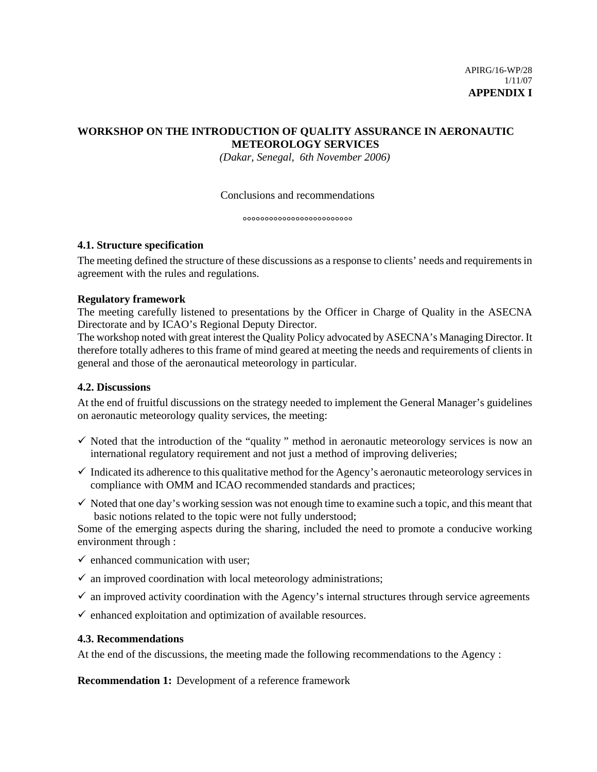# **WORKSHOP ON THE INTRODUCTION OF QUALITY ASSURANCE IN AERONAUTIC METEOROLOGY SERVICES**

*(Dakar, Senegal, 6th November 2006)* 

#### Conclusions and recommendations

**°°°°°°°°°°°°°°°°°°°°°°°°°** 

#### **4.1. Structure specification**

The meeting defined the structure of these discussions as a response to clients' needs and requirements in agreement with the rules and regulations.

#### **Regulatory framework**

The meeting carefully listened to presentations by the Officer in Charge of Quality in the ASECNA Directorate and by ICAO's Regional Deputy Director.

The workshop noted with great interest the Quality Policy advocated by ASECNA's Managing Director. It therefore totally adheres to this frame of mind geared at meeting the needs and requirements of clients in general and those of the aeronautical meteorology in particular.

### **4.2. Discussions**

At the end of fruitful discussions on the strategy needed to implement the General Manager's guidelines on aeronautic meteorology quality services, the meeting:

- $\checkmark$  Noted that the introduction of the "quality" method in aeronautic meteorology services is now an international regulatory requirement and not just a method of improving deliveries;
- $\checkmark$  Indicated its adherence to this qualitative method for the Agency's aeronautic meteorology services in compliance with OMM and ICAO recommended standards and practices;
- $\checkmark$  Noted that one day's working session was not enough time to examine such a topic, and this meant that basic notions related to the topic were not fully understood;

Some of the emerging aspects during the sharing, included the need to promote a conducive working environment through :

- $\checkmark$  enhanced communication with user;
- $\checkmark$  an improved coordination with local meteorology administrations;
- $\checkmark$  an improved activity coordination with the Agency's internal structures through service agreements
- $\checkmark$  enhanced exploitation and optimization of available resources.

#### **4.3. Recommendations**

At the end of the discussions, the meeting made the following recommendations to the Agency :

**Recommendation 1:** Development of a reference framework